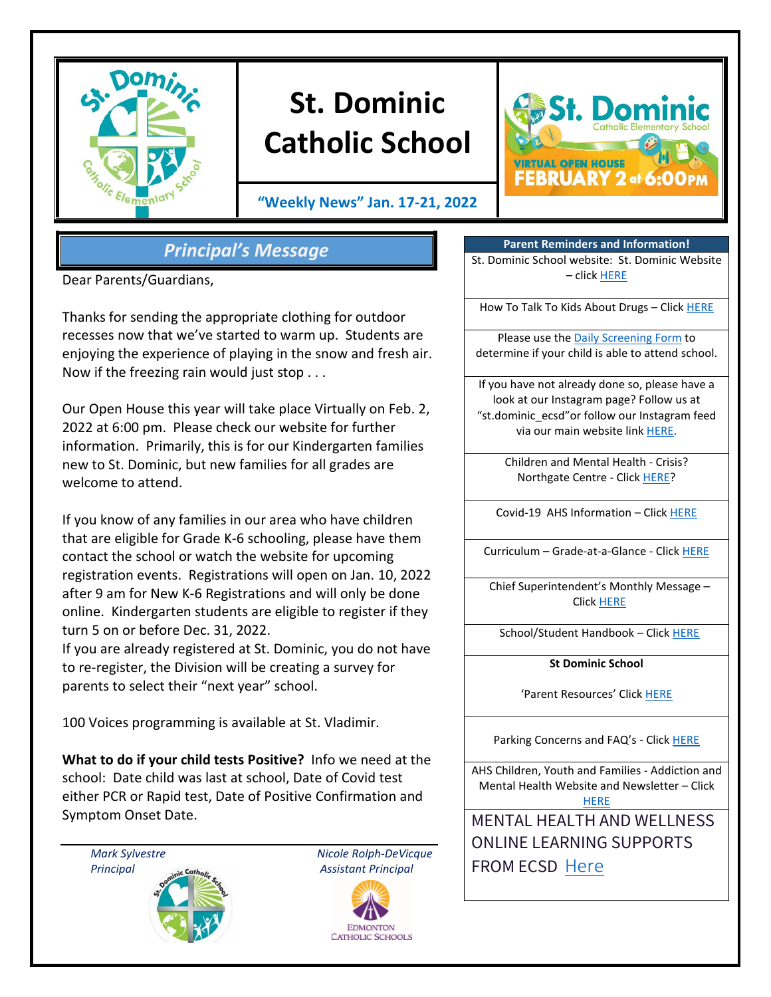

# **St. Dominic Catholic School**

**"Weekly News" Jan. 17-21, 2022**



## *Principal's Message*

Dear Parents/Guardians,

Thanks for sending the appropriate clothing for outdoor recesses now that we've started to warm up. Students are enjoying the experience of playing in the snow and fresh air. Now if the freezing rain would just stop . . .

Our Open House this year will take place Virtually on Feb. 2, 2022 at 6:00 pm. Please check our website for further information. Primarily, this is for our Kindergarten families new to St. Dominic, but new families for all grades are welcome to attend.

If you know of any families in our area who have children that are eligible for Grade K-6 schooling, please have them contact the school or watch the website for upcoming registration events. Registrations will open on Jan. 10, 2022 after 9 am for New K-6 Registrations and will only be done online. Kindergarten students are eligible to register if they turn 5 on or before Dec. 31, 2022.

If you are already registered at St. Dominic, you do not have to re-register, the Division will be creating a survey for parents to select their "next year" school.

100 Voices programming is available at St. Vladimir.

**What to do if your child tests Positive?** Info we need at the school: Date child was last at school, Date of Covid test either PCR or Rapid test, Date of Positive Confirmation and Symptom Onset Date.

*Mark Sylvestre Nicole Rolph-DeVicque Principal Assistant Principal* 



**Parent Reminders and Information!** St. Dominic School website: St. Dominic Website – click [HERE](https://www.ecsd.net/8020)

How To Talk To Kids About Drugs - Clic[k HERE](https://www.albertahealthservices.ca/Blogs/PFH/Posting305.aspx#.W6BEH-SouUm)

Please use the [Daily Screening Form](https://www.ecsd.net/_ci/p/34430) to determine if your child is able to attend school.

If you have not already done so, please have a look at our Instagram page? Follow us at "st.dominic\_ecsd"or follow our Instagram feed via our main website lin[k HERE.](https://www.instagram.com/st.dominic_ecsd/)

> Children and Mental Health - Crisis? Northgate Centre - Click [HERE?](https://www.albertahealthservices.ca/findhealth/Service.aspx?serviceAtFacilityId=1049807)

Covid-19 AHS Information – Clic[k HERE](https://www.albertahealthservices.ca/topics/Page16944.aspx)

Curriculum – Grade-at-a-Glance - Click [HERE](https://www.learnalberta.ca/content/mychildslearning/)

Chief Superintendent's Monthly Message – Click [HERE](https://www.ecsd.net/page/9041/chief-superintendent-s-message)

School/Student Handbook - Click [HERE](https://sbecsdstor.blob.core.windows.net/docs/a1e3310d-da1d-40ab-8398-941ae85938cc_St.%20Dominic%20School%20School%20Handbook%20-%20For%20Website%20-%20Updated%20May%202018.pdf)

**St Dominic School**

'Parent Resources' Clic[k HERE](https://www.ecsd.net/8020/page/5632/parent-resources)

Parking Concerns and FAQ's - Click [HERE](https://sbecsdstor.blob.core.windows.net/docs/d3525cec-cc07-4c3b-ba30-df3f7070a682_School%20Parking%20Information%20Sheet.pdf)

AHS Children, Youth and Families - Addiction and Mental Health Website and Newsletter – Click **[HERE](https://www.cyfcaregivereducation.ca/)** 

MENTAL HEALTH AND WELLNESS ONLINE LEARNING SUPPORTS FROM ECSD [Here](https://www.ecsd.net/page/7832/mental-health-and-wellness-online-learning-supports)